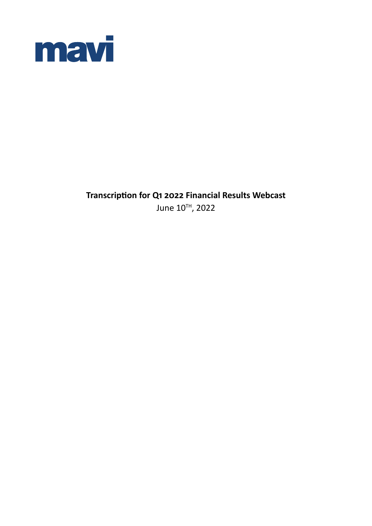

**Transcription for Q1 2022 Financial Results Webcast** June 10TH, 2022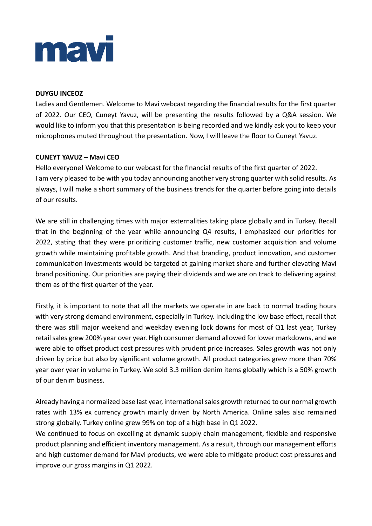

## **DUYGU INCEOZ**

Ladies and Gentlemen. Welcome to Mavi webcast regarding the financial results for the first quarter of 2022. Our CEO, Cuneyt Yavuz, will be presenting the results followed by a Q&A session. We would like to inform you that this presentation is being recorded and we kindly ask you to keep your microphones muted throughout the presentation. Now, I will leave the floor to Cuneyt Yavuz.

## **CUNEYT YAVUZ – Mavi CEO**

Hello everyone! Welcome to our webcast for the financial results of the first quarter of 2022. I am very pleased to be with you today announcing another very strong quarter with solid results. As always, I will make a short summary of the business trends for the quarter before going into details of our results.

We are still in challenging times with major externalities taking place globally and in Turkey. Recall that in the beginning of the year while announcing Q4 results, I emphasized our priorities for 2022, stating that they were prioritizing customer traffic, new customer acquisition and volume growth while maintaining profitable growth. And that branding, product innovation, and customer communication investments would be targeted at gaining market share and further elevating Mavi brand positioning. Our priorities are paying their dividends and we are on track to delivering against them as of the first quarter of the year.

Firstly, it is important to note that all the markets we operate in are back to normal trading hours with very strong demand environment, especially in Turkey. Including the low base effect, recall that there was still major weekend and weekday evening lock downs for most of Q1 last year, Turkey retail sales grew 200% year over year. High consumer demand allowed for lower markdowns, and we were able to offset product cost pressures with prudent price increases. Sales growth was not only driven by price but also by significant volume growth. All product categories grew more than 70% year over year in volume in Turkey. We sold 3.3 million denim items globally which is a 50% growth of our denim business.

Already having a normalized base last year, international sales growth returned to our normal growth rates with 13% ex currency growth mainly driven by North America. Online sales also remained strong globally. Turkey online grew 99% on top of a high base in Q1 2022.

We continued to focus on excelling at dynamic supply chain management, flexible and responsive product planning and efficient inventory management. As a result, through our management efforts and high customer demand for Mavi products, we were able to mitigate product cost pressures and improve our gross margins in Q1 2022.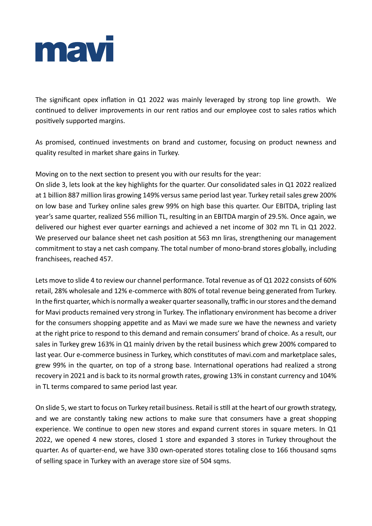

The significant opex inflation in Q1 2022 was mainly leveraged by strong top line growth. We continued to deliver improvements in our rent ratios and our employee cost to sales ratios which positively supported margins.

As promised, continued investments on brand and customer, focusing on product newness and quality resulted in market share gains in Turkey.

Moving on to the next section to present you with our results for the year:

On slide 3, lets look at the key highlights for the quarter. Our consolidated sales in Q1 2022 realized at 1 billion 887 million liras growing 149% versus same period last year. Turkey retail sales grew 200% on low base and Turkey online sales grew 99% on high base this quarter. Our EBITDA, tripling last year's same quarter, realized 556 million TL, resulting in an EBITDA margin of 29.5%. Once again, we delivered our highest ever quarter earnings and achieved a net income of 302 mn TL in Q1 2022. We preserved our balance sheet net cash position at 563 mn liras, strengthening our management commitment to stay a net cash company. The total number of mono-brand stores globally, including franchisees, reached 457.

Lets move to slide 4 to review our channel performance. Total revenue as of Q1 2022 consists of 60% retail, 28% wholesale and 12% e-commerce with 80% of total revenue being generated from Turkey. In the first quarter, which is normally a weaker quarter seasonally, traffic in our stores and the demand for Mavi products remained very strong in Turkey. The inflationary environment has become a driver for the consumers shopping appetite and as Mavi we made sure we have the newness and variety at the right price to respond to this demand and remain consumers' brand of choice. As a result, our sales in Turkey grew 163% in Q1 mainly driven by the retail business which grew 200% compared to last year. Our e-commerce business in Turkey, which constitutes of mavi.com and marketplace sales, grew 99% in the quarter, on top of a strong base. International operations had realized a strong recovery in 2021 and is back to its normal growth rates, growing 13% in constant currency and 104% in TL terms compared to same period last year.

On slide 5, we start to focus on Turkey retail business. Retail is still at the heart of our growth strategy, and we are constantly taking new actions to make sure that consumers have a great shopping experience. We continue to open new stores and expand current stores in square meters. In Q1 2022, we opened 4 new stores, closed 1 store and expanded 3 stores in Turkey throughout the quarter. As of quarter-end, we have 330 own-operated stores totaling close to 166 thousand sqms of selling space in Turkey with an average store size of 504 sqms.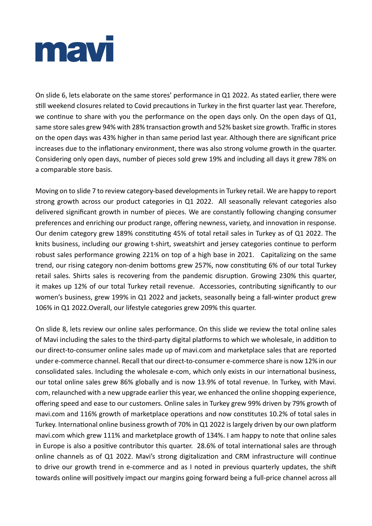

On slide 6, lets elaborate on the same stores' performance in Q1 2022. As stated earlier, there were still weekend closures related to Covid precautions in Turkey in the first quarter last year. Therefore, we continue to share with you the performance on the open days only. On the open days of Q1, same store sales grew 94% with 28% transaction growth and 52% basket size growth. Traffic in stores on the open days was 43% higher in than same period last year. Although there are significant price increases due to the inflationary environment, there was also strong volume growth in the quarter. Considering only open days, number of pieces sold grew 19% and including all days it grew 78% on a comparable store basis.

Moving on to slide 7 to review category-based developments in Turkey retail. We are happy to report strong growth across our product categories in Q1 2022. All seasonally relevant categories also delivered significant growth in number of pieces. We are constantly following changing consumer preferences and enriching our product range, offering newness, variety, and innovation in response. Our denim category grew 189% constituting 45% of total retail sales in Turkey as of Q1 2022. The knits business, including our growing t-shirt, sweatshirt and jersey categories continue to perform robust sales performance growing 221% on top of a high base in 2021. Capitalizing on the same trend, our rising category non-denim bottoms grew 257%, now constituting 6% of our total Turkey retail sales. Shirts sales is recovering from the pandemic disruption. Growing 230% this quarter, it makes up 12% of our total Turkey retail revenue. Accessories, contributing significantly to our women's business, grew 199% in Q1 2022 and jackets, seasonally being a fall-winter product grew 106% in Q1 2022.Overall, our lifestyle categories grew 209% this quarter.

On slide 8, lets review our online sales performance. On this slide we review the total online sales of Mavi including the sales to the third-party digital platforms to which we wholesale, in addition to our direct-to-consumer online sales made up of mavi.com and marketplace sales that are reported under e-commerce channel. Recall that our direct-to-consumer e-commerce share is now 12% in our consolidated sales. Including the wholesale e-com, which only exists in our international business, our total online sales grew 86% globally and is now 13.9% of total revenue. In Turkey, with Mavi. com, relaunched with a new upgrade earlier this year, we enhanced the online shopping experience, offering speed and ease to our customers. Online sales in Turkey grew 99% driven by 79% growth of mavi.com and 116% growth of marketplace operations and now constitutes 10.2% of total sales in Turkey. International online business growth of 70% in Q1 2022 is largely driven by our own platform mavi.com which grew 111% and marketplace growth of 134%. I am happy to note that online sales in Europe is also a positive contributor this quarter. 28.6% of total international sales are through online channels as of Q1 2022. Mavi's strong digitalization and CRM infrastructure will continue to drive our growth trend in e-commerce and as I noted in previous quarterly updates, the shift towards online will positively impact our margins going forward being a full-price channel across all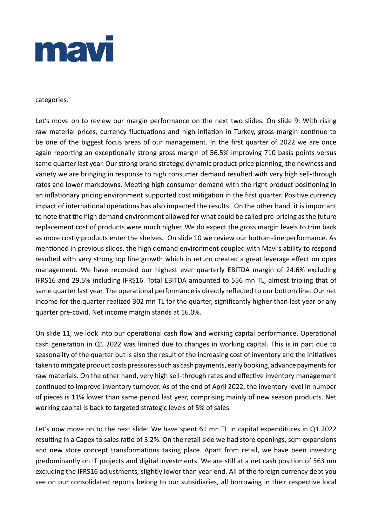

### categories.

Let's move on to review our margin performance on the next two slides. On slide 9: With rising raw material prices, currency fluctuations and high inflation in Turkey, gross margin continue to be one of the biggest focus areas of our management. In the first quarter of 2022 we are once again reporting an exceptionally strong gross margin of 56.5% improving 710 basis points versus same quarter last year. Our strong brand strategy, dynamic product-price planning, the newness and variety we are bringing in response to high consumer demand resulted with very high sell-through rates and lower markdowns. Meeting high consumer demand with the right product positioning in an inflationary pricing environment supported cost mitigation in the first quarter. Positive currency impact of international operations has also impacted the results. On the other hand, it is important to note that the high demand environment allowed for what could be called pre-pricing as the future replacement cost of products were much higher. We do expect the gross margin levels to trim back as more costly products enter the shelves. On slide 10 we review our bottom-line performance. As mentioned in previous slides, the high demand environment coupled with Mavi's ability to respond resulted with very strong top line growth which in return created a great leverage effect on opex management. We have recorded our highest ever quarterly EBITDA margin of 24.6% excluding IFRS16 and 29.5% including IFRS16. Total EBITDA amounted to 556 mn TL, almost tripling that of same quarter last year. The operational performance is directly reflected to our bottom line. Our net income for the quarter realized 302 mn TL for the quarter, significantly higher than last year or any quarter pre-covid. Net income margin stands at 16.0%.

On slide 11, we look into our operational cash flow and working capital performance. Operational cash generation in Q1 2022 was limited due to changes in working capital. This is in part due to seasonality of the quarter but is also the result of the increasing cost of inventory and the initiatives taken to mitigate product costs pressures such as cash payments, early booking, advance payments for raw materials. On the other hand, very high sell-through rates and effective inventory management continued to improve inventory turnover. As of the end of April 2022, the inventory level in number of pieces is 11% lower than same period last year, comprising mainly of new season products. Net working capital is back to targeted strategic levels of 5% of sales.

Let's now move on to the next slide: We have spent 61 mn TL in capital expenditures in Q1 2022 resulting in a Capex to sales ratio of 3.2%. On the retail side we had store openings, sqm expansions and new store concept transformations taking place. Apart from retail, we have been investing predominantly on IT projects and digital investments. We are still at a net cash position of 563 mn excluding the IFRS16 adjustments, slightly lower than year-end. All of the foreign currency debt you see on our consolidated reports belong to our subsidiaries, all borrowing in their respective local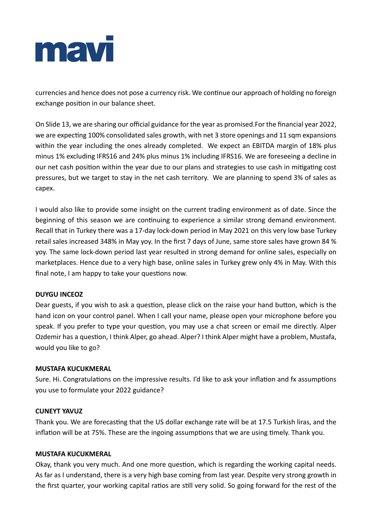

currencies and hence does not pose a currency risk. We continue our approach of holding no foreign exchange position in our balance sheet.

On Slide 13, we are sharing our official guidance for the year as promised.For the financial year 2022, we are expecting 100% consolidated sales growth, with net 3 store openings and 11 sqm expansions within the year including the ones already completed. We expect an EBITDA margin of 18% plus minus 1% excluding IFRS16 and 24% plus minus 1% including IFRS16. We are foreseeing a decline in our net cash position within the year due to our plans and strategies to use cash in mitigating cost pressures, but we target to stay in the net cash territory. We are planning to spend 3% of sales as capex.

I would also like to provide some insight on the current trading environment as of date. Since the beginning of this season we are continuing to experience a similar strong demand environment. Recall that in Turkey there was a 17-day lock-down period in May 2021 on this very low base Turkey retail sales increased 348% in May yoy. In the first 7 days of June, same store sales have grown 84 % yoy. The same lock-down period last year resulted in strong demand for online sales, especially on marketplaces. Hence due to a very high base, online sales in Turkey grew only 4% in May. With this final note, I am happy to take your questions now.

## **DUYGU INCEOZ**

Dear guests, if you wish to ask a question, please click on the raise your hand button, which is the hand icon on your control panel. When I call your name, please open your microphone before you speak. If you prefer to type your question, you may use a chat screen or email me directly. Alper Ozdemir has a question, I think Alper, go ahead. Alper? I think Alper might have a problem, Mustafa, would you like to go?

## **MUSTAFA KUCUKMERAL**

Sure. Hi. Congratulations on the impressive results. I'd like to ask your inflation and fx assumptions you use to formulate your 2022 guidance?

## **CUNEYT YAVUZ**

Thank you. We are forecasting that the US dollar exchange rate will be at 17.5 Turkish liras, and the inflation will be at 75%. These are the ingoing assumptions that we are using timely. Thank you.

### **MUSTAFA KUCUKMERAL**

Okay, thank you very much. And one more question, which is regarding the working capital needs. As far as I understand, there is a very high base coming from last year. Despite very strong growth in the first quarter, your working capital ratios are still very solid. So going forward for the rest of the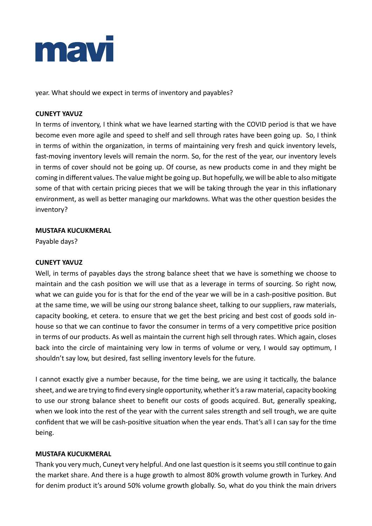

year. What should we expect in terms of inventory and payables?

## **CUNEYT YAVUZ**

In terms of inventory, I think what we have learned starting with the COVID period is that we have become even more agile and speed to shelf and sell through rates have been going up. So, I think in terms of within the organization, in terms of maintaining very fresh and quick inventory levels, fast-moving inventory levels will remain the norm. So, for the rest of the year, our inventory levels in terms of cover should not be going up. Of course, as new products come in and they might be coming in different values. The value might be going up. But hopefully, we will be able to also mitigate some of that with certain pricing pieces that we will be taking through the year in this inflationary environment, as well as better managing our markdowns. What was the other question besides the inventory?

# **MUSTAFA KUCUKMERAL**

Payable days?

## **CUNEYT YAVUZ**

Well, in terms of payables days the strong balance sheet that we have is something we choose to maintain and the cash position we will use that as a leverage in terms of sourcing. So right now, what we can guide you for is that for the end of the year we will be in a cash-positive position. But at the same time, we will be using our strong balance sheet, talking to our suppliers, raw materials, capacity booking, et cetera. to ensure that we get the best pricing and best cost of goods sold inhouse so that we can continue to favor the consumer in terms of a very competitive price position in terms of our products. As well as maintain the current high sell through rates. Which again, closes back into the circle of maintaining very low in terms of volume or very, I would say optimum, I shouldn't say low, but desired, fast selling inventory levels for the future.

I cannot exactly give a number because, for the time being, we are using it tactically, the balance sheet, and we are trying to find every single opportunity, whether it's a raw material, capacity booking to use our strong balance sheet to benefit our costs of goods acquired. But, generally speaking, when we look into the rest of the year with the current sales strength and sell trough, we are quite confident that we will be cash-positive situation when the year ends. That's all I can say for the time being.

## **MUSTAFA KUCUKMERAL**

Thank you very much, Cuneyt very helpful. And one last question is it seems you still continue to gain the market share. And there is a huge growth to almost 80% growth volume growth in Turkey. And for denim product it's around 50% volume growth globally. So, what do you think the main drivers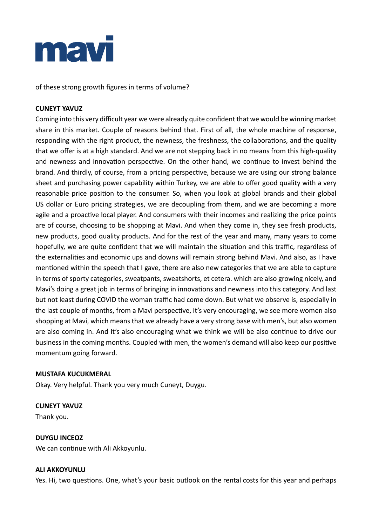

of these strong growth figures in terms of volume?

## **CUNEYT YAVUZ**

Coming into this very difficult year we were already quite confident that we would be winning market share in this market. Couple of reasons behind that. First of all, the whole machine of response, responding with the right product, the newness, the freshness, the collaborations, and the quality that we offer is at a high standard. And we are not stepping back in no means from this high-quality and newness and innovation perspective. On the other hand, we continue to invest behind the brand. And thirdly, of course, from a pricing perspective, because we are using our strong balance sheet and purchasing power capability within Turkey, we are able to offer good quality with a very reasonable price position to the consumer. So, when you look at global brands and their global US dollar or Euro pricing strategies, we are decoupling from them, and we are becoming a more agile and a proactive local player. And consumers with their incomes and realizing the price points are of course, choosing to be shopping at Mavi. And when they come in, they see fresh products, new products, good quality products. And for the rest of the year and many, many years to come hopefully, we are quite confident that we will maintain the situation and this traffic, regardless of the externalities and economic ups and downs will remain strong behind Mavi. And also, as I have mentioned within the speech that I gave, there are also new categories that we are able to capture in terms of sporty categories, sweatpants, sweatshorts, et cetera. which are also growing nicely, and Mavi's doing a great job in terms of bringing in innovations and newness into this category. And last but not least during COVID the woman traffic had come down. But what we observe is, especially in the last couple of months, from a Mavi perspective, it's very encouraging, we see more women also shopping at Mavi, which means that we already have a very strong base with men's, but also women are also coming in. And it's also encouraging what we think we will be also continue to drive our business in the coming months. Coupled with men, the women's demand will also keep our positive momentum going forward.

## **MUSTAFA KUCUKMERAL**

Okay. Very helpful. Thank you very much Cuneyt, Duygu.

## **CUNEYT YAVUZ**

Thank you.

## **DUYGU INCEOZ**

We can continue with Ali Akkoyunlu.

## **ALI AKKOYUNLU**

Yes. Hi, two questions. One, what's your basic outlook on the rental costs for this year and perhaps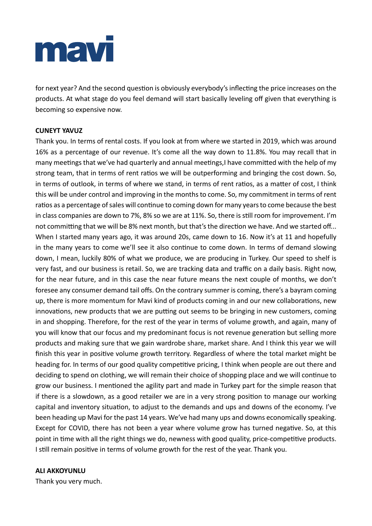

for next year? And the second question is obviously everybody's inflecting the price increases on the products. At what stage do you feel demand will start basically leveling off given that everything is becoming so expensive now.

# **CUNEYT YAVUZ**

Thank you. In terms of rental costs. If you look at from where we started in 2019, which was around 16% as a percentage of our revenue. It's come all the way down to 11.8%. You may recall that in many meetings that we've had quarterly and annual meetings,I have committed with the help of my strong team, that in terms of rent ratios we will be outperforming and bringing the cost down. So, in terms of outlook, in terms of where we stand, in terms of rent ratios, as a matter of cost, I think this will be under control and improving in the months to come. So, my commitment in terms of rent ratios as a percentage of sales will continue to coming down for many years to come because the best in class companies are down to 7%, 8% so we are at 11%. So, there is still room for improvement. I'm not committing that we will be 8% next month, but that's the direction we have. And we started off... When I started many years ago, it was around 20s, came down to 16. Now it's at 11 and hopefully in the many years to come we'll see it also continue to come down. In terms of demand slowing down, I mean, luckily 80% of what we produce, we are producing in Turkey. Our speed to shelf is very fast, and our business is retail. So, we are tracking data and traffic on a daily basis. Right now, for the near future, and in this case the near future means the next couple of months, we don't foresee any consumer demand tail offs. On the contrary summer is coming, there's a bayram coming up, there is more momentum for Mavi kind of products coming in and our new collaborations, new innovations, new products that we are putting out seems to be bringing in new customers, coming in and shopping. Therefore, for the rest of the year in terms of volume growth, and again, many of you will know that our focus and my predominant focus is not revenue generation but selling more products and making sure that we gain wardrobe share, market share. And I think this year we will finish this year in positive volume growth territory. Regardless of where the total market might be heading for. In terms of our good quality competitive pricing, I think when people are out there and deciding to spend on clothing, we will remain their choice of shopping place and we will continue to grow our business. I mentioned the agility part and made in Turkey part for the simple reason that if there is a slowdown, as a good retailer we are in a very strong position to manage our working capital and inventory situation, to adjust to the demands and ups and downs of the economy. I've been heading up Mavi for the past 14 years. We've had many ups and downs economically speaking. Except for COVID, there has not been a year where volume grow has turned negative. So, at this point in time with all the right things we do, newness with good quality, price-competitive products. I still remain positive in terms of volume growth for the rest of the year. Thank you.

### **ALI AKKOYUNLU**

Thank you very much.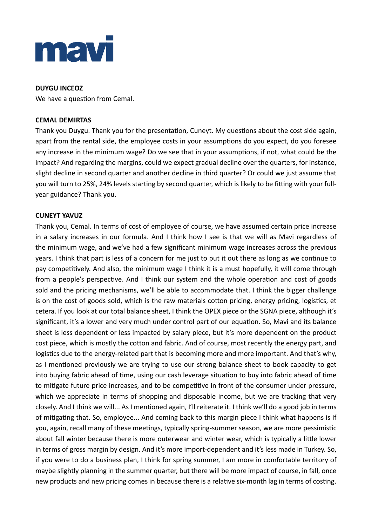

## **DUYGU INCEOZ**

We have a question from Cemal.

## **CEMAL DEMIRTAS**

Thank you Duygu. Thank you for the presentation, Cuneyt. My questions about the cost side again, apart from the rental side, the employee costs in your assumptions do you expect, do you foresee any increase in the minimum wage? Do we see that in your assumptions, if not, what could be the impact? And regarding the margins, could we expect gradual decline over the quarters, for instance, slight decline in second quarter and another decline in third quarter? Or could we just assume that you will turn to 25%, 24% levels starting by second quarter, which is likely to be fitting with your fullyear guidance? Thank you.

### **CUNEYT YAVUZ**

Thank you, Cemal. In terms of cost of employee of course, we have assumed certain price increase in a salary increases in our formula. And I think how I see is that we will as Mavi regardless of the minimum wage, and we've had a few significant minimum wage increases across the previous years. I think that part is less of a concern for me just to put it out there as long as we continue to pay competitively. And also, the minimum wage I think it is a must hopefully, it will come through from a people's perspective. And I think our system and the whole operation and cost of goods sold and the pricing mechanisms, we'll be able to accommodate that. I think the bigger challenge is on the cost of goods sold, which is the raw materials cotton pricing, energy pricing, logistics, et cetera. If you look at our total balance sheet, I think the OPEX piece or the SGNA piece, although it's significant, it's a lower and very much under control part of our equation. So, Mavi and its balance sheet is less dependent or less impacted by salary piece, but it's more dependent on the product cost piece, which is mostly the cotton and fabric. And of course, most recently the energy part, and logistics due to the energy-related part that is becoming more and more important. And that's why, as I mentioned previously we are trying to use our strong balance sheet to book capacity to get into buying fabric ahead of time, using our cash leverage situation to buy into fabric ahead of time to mitigate future price increases, and to be competitive in front of the consumer under pressure, which we appreciate in terms of shopping and disposable income, but we are tracking that very closely. And I think we will... As I mentioned again, I'll reiterate it. I think we'll do a good job in terms of mitigating that. So, employee... And coming back to this margin piece I think what happens is if you, again, recall many of these meetings, typically spring-summer season, we are more pessimistic about fall winter because there is more outerwear and winter wear, which is typically a little lower in terms of gross margin by design. And it's more import-dependent and it's less made in Turkey. So, if you were to do a business plan, I think for spring summer, I am more in comfortable territory of maybe slightly planning in the summer quarter, but there will be more impact of course, in fall, once new products and new pricing comes in because there is a relative six-month lag in terms of costing.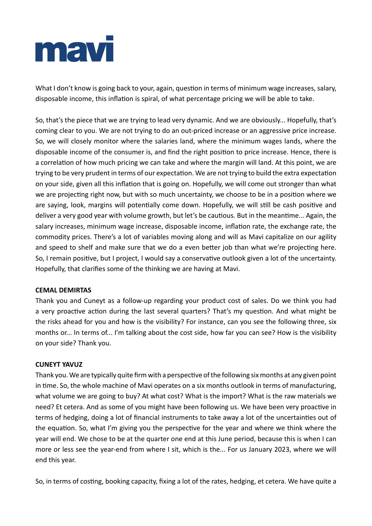

What I don't know is going back to your, again, question in terms of minimum wage increases, salary, disposable income, this inflation is spiral, of what percentage pricing we will be able to take.

So, that's the piece that we are trying to lead very dynamic. And we are obviously... Hopefully, that's coming clear to you. We are not trying to do an out-priced increase or an aggressive price increase. So, we will closely monitor where the salaries land, where the minimum wages lands, where the disposable income of the consumer is, and find the right position to price increase. Hence, there is a correlation of how much pricing we can take and where the margin will land. At this point, we are trying to be very prudent in terms of our expectation. We are not trying to build the extra expectation on your side, given all this inflation that is going on. Hopefully, we will come out stronger than what we are projecting right now, but with so much uncertainty, we choose to be in a position where we are saying, look, margins will potentially come down. Hopefully, we will still be cash positive and deliver a very good year with volume growth, but let's be cautious. But in the meantime... Again, the salary increases, minimum wage increase, disposable income, inflation rate, the exchange rate, the commodity prices. There's a lot of variables moving along and will as Mavi capitalize on our agility and speed to shelf and make sure that we do a even better job than what we're projecting here. So, I remain positive, but I project, I would say a conservative outlook given a lot of the uncertainty. Hopefully, that clarifies some of the thinking we are having at Mavi.

## **CEMAL DEMIRTAS**

Thank you and Cuneyt as a follow-up regarding your product cost of sales. Do we think you had a very proactive action during the last several quarters? That's my question. And what might be the risks ahead for you and how is the visibility? For instance, can you see the following three, six months or... In terms of... I'm talking about the cost side, how far you can see? How is the visibility on your side? Thank you.

## **CUNEYT YAVUZ**

Thank you. We are typically quite firm with a perspective of the following six months at any given point in time. So, the whole machine of Mavi operates on a six months outlook in terms of manufacturing, what volume we are going to buy? At what cost? What is the import? What is the raw materials we need? Et cetera. And as some of you might have been following us. We have been very proactive in terms of hedging, doing a lot of financial instruments to take away a lot of the uncertainties out of the equation. So, what I'm giving you the perspective for the year and where we think where the year will end. We chose to be at the quarter one end at this June period, because this is when I can more or less see the year-end from where I sit, which is the... For us January 2023, where we will end this year.

So, in terms of costing, booking capacity, fixing a lot of the rates, hedging, et cetera. We have quite a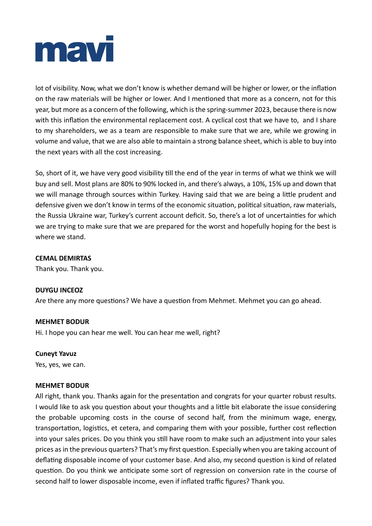

lot of visibility. Now, what we don't know is whether demand will be higher or lower, or the inflation on the raw materials will be higher or lower. And I mentioned that more as a concern, not for this year, but more as a concern of the following, which is the spring-summer 2023, because there is now with this inflation the environmental replacement cost. A cyclical cost that we have to, and I share to my shareholders, we as a team are responsible to make sure that we are, while we growing in volume and value, that we are also able to maintain a strong balance sheet, which is able to buy into the next years with all the cost increasing.

So, short of it, we have very good visibility till the end of the year in terms of what we think we will buy and sell. Most plans are 80% to 90% locked in, and there's always, a 10%, 15% up and down that we will manage through sources within Turkey. Having said that we are being a little prudent and defensive given we don't know in terms of the economic situation, political situation, raw materials, the Russia Ukraine war, Turkey's current account deficit. So, there's a lot of uncertainties for which we are trying to make sure that we are prepared for the worst and hopefully hoping for the best is where we stand.

## **CEMAL DEMIRTAS**

Thank you. Thank you.

## **DUYGU INCEOZ**

Are there any more questions? We have a question from Mehmet. Mehmet you can go ahead.

### **MEHMET BODUR**

Hi. I hope you can hear me well. You can hear me well, right?

### **Cuneyt Yavuz**

Yes, yes, we can.

## **MEHMET BODUR**

All right, thank you. Thanks again for the presentation and congrats for your quarter robust results. I would like to ask you question about your thoughts and a little bit elaborate the issue considering the probable upcoming costs in the course of second half, from the minimum wage, energy, transportation, logistics, et cetera, and comparing them with your possible, further cost reflection into your sales prices. Do you think you still have room to make such an adjustment into your sales prices as in the previous quarters? That's my first question. Especially when you are taking account of deflating disposable income of your customer base. And also, my second question is kind of related question. Do you think we anticipate some sort of regression on conversion rate in the course of second half to lower disposable income, even if inflated traffic figures? Thank you.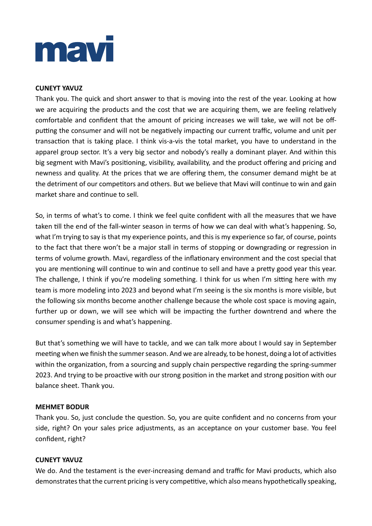

## **CUNEYT YAVUZ**

Thank you. The quick and short answer to that is moving into the rest of the year. Looking at how we are acquiring the products and the cost that we are acquiring them, we are feeling relatively comfortable and confident that the amount of pricing increases we will take, we will not be offputting the consumer and will not be negatively impacting our current traffic, volume and unit per transaction that is taking place. I think vis-a-vis the total market, you have to understand in the apparel group sector. It's a very big sector and nobody's really a dominant player. And within this big segment with Mavi's positioning, visibility, availability, and the product offering and pricing and newness and quality. At the prices that we are offering them, the consumer demand might be at the detriment of our competitors and others. But we believe that Mavi will continue to win and gain market share and continue to sell.

So, in terms of what's to come. I think we feel quite confident with all the measures that we have taken till the end of the fall-winter season in terms of how we can deal with what's happening. So, what I'm trying to say is that my experience points, and this is my experience so far, of course, points to the fact that there won't be a major stall in terms of stopping or downgrading or regression in terms of volume growth. Mavi, regardless of the inflationary environment and the cost special that you are mentioning will continue to win and continue to sell and have a pretty good year this year. The challenge, I think if you're modeling something. I think for us when I'm sitting here with my team is more modeling into 2023 and beyond what I'm seeing is the six months is more visible, but the following six months become another challenge because the whole cost space is moving again, further up or down, we will see which will be impacting the further downtrend and where the consumer spending is and what's happening.

But that's something we will have to tackle, and we can talk more about I would say in September meeting when we finish the summer season. And we are already, to be honest, doing a lot of activities within the organization, from a sourcing and supply chain perspective regarding the spring-summer 2023. And trying to be proactive with our strong position in the market and strong position with our balance sheet. Thank you.

## **MEHMET BODUR**

Thank you. So, just conclude the question. So, you are quite confident and no concerns from your side, right? On your sales price adjustments, as an acceptance on your customer base. You feel confident, right?

### **CUNEYT YAVUZ**

We do. And the testament is the ever-increasing demand and traffic for Mavi products, which also demonstrates that the current pricing is very competitive, which also means hypothetically speaking,